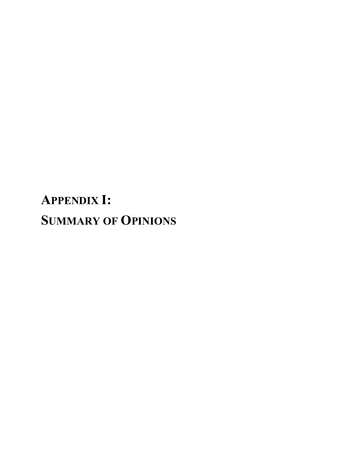# **APPENDIX I: SUMMARY OF OPINIONS**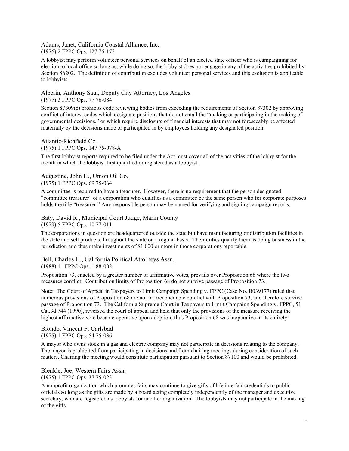#### Adams, Janet, California Coastal Alliance, Inc.

(1976) 2 FPPC Ops. 127 75-173

A lobbyist may perform volunteer personal services on behalf of an elected state officer who is campaigning for election to local office so long as, while doing so, the lobbyist does not engage in any of the activities prohibited by Section 86202. The definition of contribution excludes volunteer personal services and this exclusion is applicable to lobbyists.

### Alperin, Anthony Saul, Deputy City Attorney, Los Angeles

## (1977) 3 FPPC Ops. 77 76-084

Section 87309(c) prohibits code reviewing bodies from exceeding the requirements of Section 87302 by approving conflict of interest codes which designate positions that do not entail the "making or participating in the making of governmental decisions," or which require disclosure of financial interests that may not foreseeably be affected materially by the decisions made or participated in by employees holding any designated position.

#### Atlantic-Richfield Co.

(1975) 1 FPPC Ops. 147 75-078-A

The first lobbyist reports required to be filed under the Act must cover all of the activities of the lobbyist for the month in which the lobbyist first qualified or registered as a lobbyist.

#### Augustine, John H., Union Oil Co.

#### (1975) 1 FPPC Ops. 69 75-064

A committee is required to have a treasurer. However, there is no requirement that the person designated "committee treasurer" of a corporation who qualifies as a committee be the same person who for corporate purposes holds the title "treasurer." Any responsible person may be named for verifying and signing campaign reports.

### Baty, David R., Municipal Court Judge, Marin County

#### (1979) 5 FPPC Ops. 10 77-011

The corporations in question are headquartered outside the state but have manufacturing or distribution facilities in the state and sell products throughout the state on a regular basis. Their duties qualify them as doing business in the jurisdiction and thus make investments of \$1,000 or more in those corporations reportable.

## Bell, Charles H., California Political Attorneys Assn.

#### (1988) 11 FPPC Ops. 1 88-002

Proposition 73, enacted by a greater number of affirmative votes, prevails over Proposition 68 where the two measures conflict. Contribution limits of Proposition 68 do not survive passage of Proposition 73.

Note: The Court of Appeal in Taxpayers to Limit Campaign Spending v. FPPC (Case No. B039177) ruled that numerous provisions of Proposition 68 are not in irreconcilable conflict with Proposition 73, and therefore survive passage of Proposition 73. The California Supreme Court in Taxpayers to Limit Campaign Spending v. FPPC, 51 Cal.3d 744 (1990), reversed the court of appeal and held that only the provisions of the measure receiving the highest affirmative vote became operative upon adoption; thus Proposition 68 was inoperative in its entirety.

#### Biondo, Vincent F. Carlsbad (1975) 1 FPPC Ops. 54 75-036

A mayor who owns stock in a gas and electric company may not participate in decisions relating to the company. The mayor is prohibited from participating in decisions and from chairing meetings during consideration of such matters. Chairing the meeting would constitute participation pursuant to Section 87100 and would be prohibited.

#### Blenkle, Joe, Western Fairs Assn.

#### (1975) 1 FPPC Ops. 37 75-023

A nonprofit organization which promotes fairs may continue to give gifts of lifetime fair credentials to public officials so long as the gifts are made by a board acting completely independently of the manager and executive secretary, who are registered as lobbyists for another organization. The lobbyists may not participate in the making of the gifts.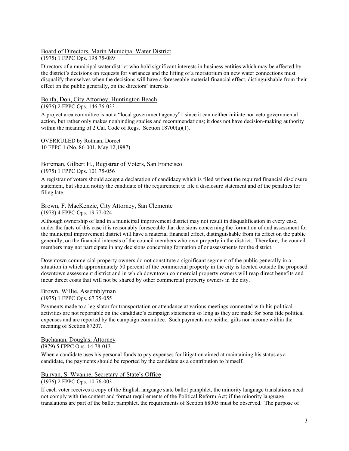#### Board of Directors, Marin Municipal Water District

#### (1975) 1 FPPC Ops. 198 75-089

Directors of a municipal water district who hold significant interests in business entities which may be affected by the district's decisions on requests for variances and the lifting of a moratorium on new water connections must disqualify themselves when the decisions will have a foreseeable material financial effect, distinguishable from their effect on the public generally, on the directors' interests.

#### Bonfa, Don, City Attorney, Huntington Beach

## (1976) 2 FPPC Ops. 146 76-033

A project area committee is not a "local government agency" since it can neither initiate nor veto governmental action, but rather only makes nonbinding studies and recommendations; it does not have decision-making authority within the meaning of 2 Cal. Code of Regs. Section 18700(a)(1).

OVERRULED by Rotman, Doreet 10 FPPC 1 (No. 86-001, May 12,1987)

## Boreman, Gilbert H., Registrar of Voters, San Francisco

(1975) 1 FPPC Ops. 101 75-056

A registrar of voters should accept a declaration of candidacy which is filed without the required financial disclosure statement, but should notify the candidate of the requirement to file a disclosure statement and of the penalties for filing late.

## Brown, F. MacKenzie, City Attorney, San Clemente

(1978) 4 FPPC Ops. 19 77-024

Although ownership of land in a municipal improvement district may not result in disqualification in every case, under the facts of this case it is reasonably foreseeable that decisions concerning the formation of and assessment for the municipal improvement district will have a material financial effect, distinguishable from its effect on the public generally, on the financial interests of the council members who own property in the district. Therefore, the council members may not participate in any decisions concerning formation of or assessments for the district.

Downtown commercial property owners do not constitute a significant segment of the public generally in a situation in which approximately 50 percent of the commercial property in the city is located outside the proposed downtown assessment district and in which downtown commercial property owners will reap direct benefits and incur direct costs that will not be shared by other commercial property owners in the city.

## Brown, Willie, Assemblyman

(1975) 1 FPPC Ops. 67 75-055

Payments made to a legislator for transportation or attendance at various meetings connected with his political activities are not reportable on the candidate's campaign statements so long as they are made for bona fide political expenses and are reported by the campaign committee. Such payments are neither gifts nor income within the meaning of Section 87207.

Buchanan, Douglas, Attorney (l979) 5 FPPC Ops. 14 78-013

When a candidate uses his personal funds to pay expenses for litigation aimed at maintaining his status as a candidate, the payments should be reported by the candidate as a contribution to himself.

## Bunyan, S. Wyanne, Secretary of State's Office

(1976) 2 FPPC Ops. 10 76-003

If each voter receives a copy of the English language state ballot pamphlet, the minority language translations need not comply with the content and format requirements of the Political Reform Act; if the minority language translations are part of the ballot pamphlet, the requirements of Section 88005 must be observed. The purpose of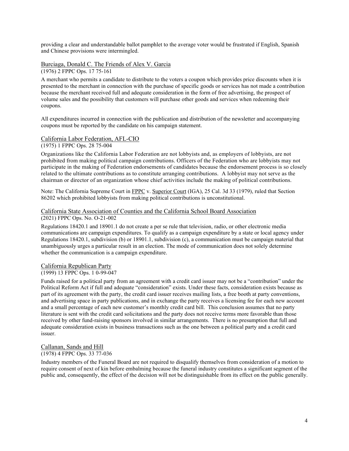providing a clear and understandable ballot pamphlet to the average voter would be frustrated if English, Spanish and Chinese provisions were intermingled.

#### Burciaga, Donald C. The Friends of Alex V. Garcia (1976) 2 FPPC Ops. 17 75-161

A merchant who permits a candidate to distribute to the voters a coupon which provides price discounts when it is presented to the merchant in connection with the purchase of specific goods or services has not made a contribution because the merchant received full and adequate consideration in the form of free advertising, the prospect of volume sales and the possibility that customers will purchase other goods and services when redeeming their coupons.

All expenditures incurred in connection with the publication and distribution of the newsletter and accompanying coupons must be reported by the candidate on his campaign statement.

#### California Labor Federation, AFL-CIO

#### (1975) 1 FPPC Ops. 28 75-004

Organizations like the California Labor Federation are not lobbyists and, as employers of lobbyists, are not prohibited from making political campaign contributions. Officers of the Federation who are lobbyists may not participate in the making of Federation endorsements of candidates because the endorsement process is so closely related to the ultimate contributions as to constitute arranging contributions. A lobbyist may not serve as the chairman or director of an organization whose chief activities include the making of political contributions.

Note: The California Supreme Court in FPPC v. Superior Court (IGA), 25 Cal. 3d 33 (1979), ruled that Section 86202 which prohibited lobbyists from making political contributions is unconstitutional.

#### California State Association of Counties and the California School Board Association (2021) FPPC Ops. No. O-21-002

Regulations 18420.1 and 18901.1 do not create a per se rule that television, radio, or other electronic media communications are campaign expenditures. To qualify as a campaign expenditure by a state or local agency under Regulations 18420.1, subdivision (b) or 18901.1, subdivision (c), a communication must be campaign material that unambiguously urges a particular result in an election. The mode of communication does not solely determine whether the communication is a campaign expenditure.

#### California Republican Party (1999) 13 FPPC Ops. 1 0-99-047

Funds raised for a political party from an agreement with a credit card issuer may not be a "contribution" under the Political Reform Act if full and adequate "consideration" exists. Under these facts, consideration exists because as part of its agreement with the party, the credit card issuer receives mailing lists, a free booth at party conventions, and advertising space in party publications, and in exchange the party receives a licensing fee for each new account and a small percentage of each new customer's monthly credit card bill. This conclusion assumes that no party literature is sent with the credit card solicitations and the party does not receive terms more favorable than those received by other fund-raising sponsors involved in similar arrangements. There is no presumption that full and adequate consideration exists in business transactions such as the one between a political party and a credit card issuer.

## Callanan, Sands and Hill

## (1978) 4 FPPC Ops. 33 77-036

Industry members of the Funeral Board are not required to disqualify themselves from consideration of a motion to require consent of next of kin before embalming because the funeral industry constitutes a significant segment of the public and, consequently, the effect of the decision will not be distinguishable from its effect on the public generally.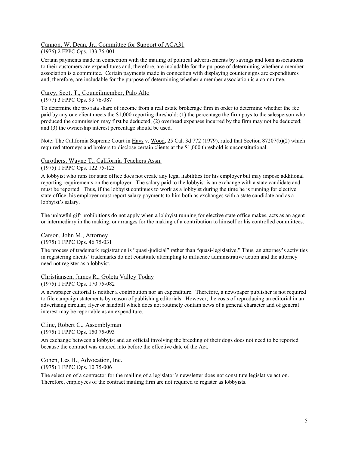### Cannon, W. Dean, Jr., Committee for Support of ACA31

#### (1976) 2 FPPC Ops. 133 76-001

Certain payments made in connection with the mailing of political advertisements by savings and loan associations to their customers are expenditures and, therefore, are includable for the purpose of determining whether a member association is a committee. Certain payments made in connection with displaying counter signs are expenditures and, therefore, are includable for the purpose of determining whether a member association is a committee.

#### Carey, Scott T., Councilmember, Palo Alto

#### (1977) 3 FPPC Ops. 99 76-087

To determine the pro rata share of income from a real estate brokerage firm in order to determine whether the fee paid by any one client meets the \$1,000 reporting threshold: (1) the percentage the firm pays to the salesperson who produced the commission may first be deducted; (2) overhead expenses incurred by the firm may not be deducted; and (3) the ownership interest percentage should be used.

Note: The California Supreme Court in Hays v. Wood, 25 Cal. 3d 772 (1979), ruled that Section 87207(b)(2) which required attorneys and brokers to disclose certain clients at the \$1,000 threshold is unconstitutional.

#### Carothers, Wayne T., California Teachers Assn.

#### (1975) 1 FPPC Ops. 122 75-123

A lobbyist who runs for state office does not create any legal liabilities for his employer but may impose additional reporting requirements on the employer. The salary paid to the lobbyist is an exchange with a state candidate and must be reported. Thus, if the lobbyist continues to work as a lobbyist during the time he is running for elective state office, his employer must report salary payments to him both as exchanges with a state candidate and as a lobbyist's salary.

The unlawful gift prohibitions do not apply when a lobbyist running for elective state office makes, acts as an agent or intermediary in the making, or arranges for the making of a contribution to himself or his controlled committees.

#### Carson, John M., Attorney

## (1975) 1 FPPC Ops. 46 75-031

The process of trademark registration is "quasi-judicial" rather than "quasi-legislative." Thus, an attorney's activities in registering clients' trademarks do not constitute attempting to influence administrative action and the attorney need not register as a lobbyist.

#### Christiansen, James R., Goleta Valley Today

#### (1975) 1 FPPC Ops. 170 75-082

A newspaper editorial is neither a contribution nor an expenditure. Therefore, a newspaper publisher is not required to file campaign statements by reason of publishing editorials. However, the costs of reproducing an editorial in an advertising circular, flyer or handbill which does not routinely contain news of a general character and of general interest may be reportable as an expenditure.

#### Cline, Robert C., Assemblyman

#### (1975) 1 FPPC Ops. 150 75-093

An exchange between a lobbyist and an official involving the breeding of their dogs does not need to be reported because the contract was entered into before the effective date of the Act.

#### Cohen, Les H., Advocation, Inc. (1975) 1 FPPC Ops. 10 75-006

The selection of a contractor for the mailing of a legislator's newsletter does not constitute legislative action. Therefore, employees of the contract mailing firm are not required to register as lobbyists.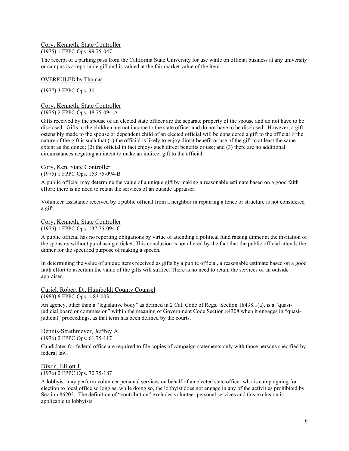#### Cory, Kenneth, State Controller (1975) 1 FPPC Ops. 99 75-047

The receipt of a parking pass from the California State University for use while on official business at any university or campus is a reportable gift and is valued at the fair market value of the item.

#### OVERRULED by Thomas

(1977) 3 FPPC Ops. 30

#### Cory, Kenneth, State Controller (1976) 2 FPPC Ops. 48 75-094-A

Gifts received by the spouse of an elected state officer are the separate property of the spouse and do not have to be disclosed. Gifts to the children are not income to the state officer and do not have to be disclosed. However, a gift ostensibly made to the spouse or dependent child of an elected official will be considered a gift to the official if the nature of the gift is such that (1) the official is likely to enjoy direct benefit or use of the gift to at least the same extent as the donee; (2) the official in fact enjoys such direct benefits or use; and (3) there are no additional circumstances negating an intent to make an indirect gift to the official.

### Cory, Ken, State Controller

#### (1975) 1 FPPC Ops. 153 75-094-B

A public official may determine the value of a unique gift by making a reasonable estimate based on a good faith effort; there is no need to retain the services of an outside appraiser.

Volunteer assistance received by a public official from a neighbor in repairing a fence or structure is not considered a gift.

### Cory, Kenneth, State Controller

#### (1975) 1 FPPC Ops. 137 75-094-C

A public official has no reporting obligations by virtue of attending a political fund raising dinner at the invitation of the sponsors without purchasing a ticket. This conclusion is not altered by the fact that the public official attends the dinner for the specified purpose of making a speech.

In determining the value of unique items received as gifts by a public official, a reasonable estimate based on a good faith effort to ascertain the value of the gifts will suffice. There is no need to retain the services of an outside appraiser.

## Curiel, Robert D., Humboldt County Counsel

#### (1983) 8 FPPC Ops. 1 83-003

An agency, other than a "legislative body" as defined in 2 Cal. Code of Regs. Section 18438.1(a), is a "quasijudicial board or commission" within the meaning of Government Code Section 84308 when it engages in "quasijudicial" proceedings, as that term has been defined by the courts.

#### Dennis-Strathmeyer, Jeffrey A. (1976) 2 FPPC Ops. 61 75-117

Candidates for federal office are required to file copies of campaign statements only with those persons specified by federal law.

# Dixon, Elliott J.

(1976) 2 FPPC Ops. 70 75-187

A lobbyist may perform volunteer personal services on behalf of an elected state officer who is campaigning for election to local office so long as, while doing so, the lobbyist does not engage in any of the activities prohibited by Section 86202. The definition of "contribution" excludes volunteer personal services and this exclusion is applicable to lobbyists.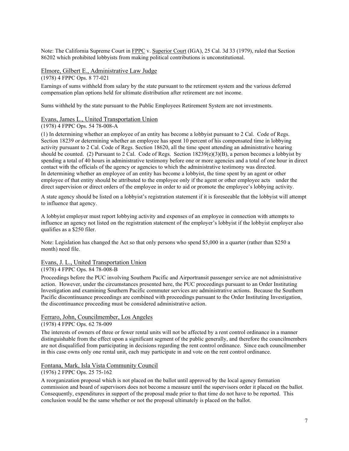Note: The California Supreme Court in FPPC v. Superior Court (IGA), 25 Cal. 3d 33 (1979), ruled that Section 86202 which prohibited lobbyists from making political contributions is unconstitutional.

#### Elmore, Gilbert E., Administrative Law Judge

(1978) 4 FPPC Ops. 8 77-021

Earnings of sums withheld from salary by the state pursuant to the retirement system and the various deferred compensation plan options held for ultimate distribution after retirement are not income.

Sums withheld by the state pursuant to the Public Employees Retirement System are not investments.

## Evans, James L., United Transportation Union

## (1978) 4 FPPC Ops. 54 78-008-A

(1) In determining whether an employee of an entity has become a lobbyist pursuant to 2 Cal. Code of Regs. Section 18239 or determining whether an employee has spent 10 percent of his compensated time in lobbying activity pursuant to 2 Cal. Code of Regs. Section 18620, all the time spent attending an administrative hearing should be counted. (2) Pursuant to 2 Cal. Code of Regs. Section  $18239(e)(3)(B)$ , a person becomes a lobbyist by spending a total of 40 hours in administrative testimony before one or more agencies and a total of one hour in direct contact with the officials of the agency or agencies to which the administrative testimony was directed. In determining whether an employee of an entity has become a lobbyist, the time spent by an agent or other employee of that entity should be attributed to the employee only if the agent or other employee acts under the direct supervision or direct orders of the employee in order to aid or promote the employee's lobbying activity.

A state agency should be listed on a lobbyist's registration statement if it is foreseeable that the lobbyist will attempt to influence that agency.

A lobbyist employer must report lobbying activity and expenses of an employee in connection with attempts to influence an agency not listed on the registration statement of the employer's lobbyist if the lobbyist employer also qualifies as a \$250 filer.

Note: Legislation has changed the Act so that only persons who spend \$5,000 in a quarter (rather than \$250 a month) need file.

#### Evans, J. L., United Transportation Union

(1978) 4 FPPC Ops. 84 78-008-B

Proceedings before the PUC involving Southern Pacific and Airportransit passenger service are not administrative action. However, under the circumstances presented here, the PUC proceedings pursuant to an Order Instituting Investigation and examining Southern Pacific commuter services are administrative actions. Because the Southern Pacific discontinuance proceedings are combined with proceedings pursuant to the Order Instituting Investigation, the discontinuance proceeding must be considered administrative action.

## Ferraro, John, Councilmember, Los Angeles

#### (1978) 4 FPPC Ops. 62 78-009

The interests of owners of three or fewer rental units will not be affected by a rent control ordinance in a manner distinguishable from the effect upon a significant segment of the public generally, and therefore the councilmembers are not disqualified from participating in decisions regarding the rent control ordinance. Since each councilmember in this case owns only one rental unit, each may participate in and vote on the rent control ordinance.

## Fontana, Mark, Isla Vista Community Council

#### (1976) 2 FPPC Ops. 25 75-162

A reorganization proposal which is not placed on the ballot until approved by the local agency formation commission and board of supervisors does not become a measure until the supervisors order it placed on the ballot. Consequently, expenditures in support of the proposal made prior to that time do not have to be reported. This conclusion would be the same whether or not the proposal ultimately is placed on the ballot.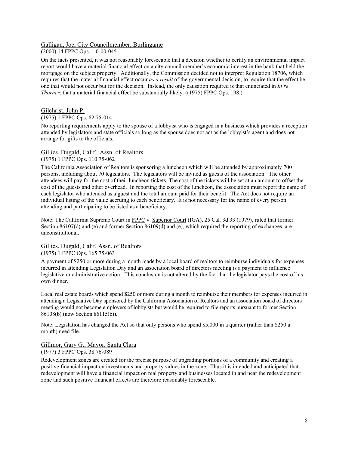#### Galligan, Joe, City Councilmember, Burlingame

(2000) 14 FPPC Ops. 1 0-00-045

On the facts presented, it was not reasonably foreseeable that a decision whether to certify an environmental impact report would have a material financial effect on a city council member's economic interest in the bank that held the mortgage on the subject property. Additionally, the Commission decided not to interpret Regulation 18706, which requires that the material financial effect occur *as a result* of the governmental decision, to require that the effect be one that would not occur but for the decision. Instead, the only causation required is that enunciated in *In re Thorner*: that a material financial effect be substantially likely. ((1975) FPPC Ops. 198.)

# Gilchrist, John P.

#### (1975) 1 FPPC Ops. 82 75-014

No reporting requirements apply to the spouse of a lobbyist who is engaged in a business which provides a reception attended by legislators and state officials so long as the spouse does not act as the lobbyist's agent and does not arrange for gifts to the officials.

### Gillies, Dugald, Calif. Assn. of Realtors

#### (1975) 1 FPPC Ops. 110 75-062

The California Association of Realtors is sponsoring a luncheon which will be attended by approximately 700 persons, including about 70 legislators. The legislators will be invited as guests of the association. The other attendees will pay for the cost of their luncheon tickets. The cost of the tickets will be set at an amount to offset the cost of the guests and other overhead. In reporting the cost of the luncheon, the association must report the name of each legislator who attended as a guest and the total amount paid for their benefit. The Act does not require an individual listing of the value accruing to each beneficiary. It is not necessary for the name of every person attending and participating to be listed as a beneficiary.

Note: The California Supreme Court in FPPC v. Superior Court (IGA), 25 Cal. 3d 33 (1979), ruled that former Section 86107(d) and (e) and former Section 86109(d) and (e), which required the reporting of exchanges, are unconstitutional.

#### Gillies, Dugald, Calif. Assn. of Realtors

#### (1975) 1 FPPC Ops. 165 75-063

A payment of \$250 or more during a month made by a local board of realtors to reimburse individuals for expenses incurred in attending Legislation Day and an association board of directors meeting is a payment to influence legislative or administrative action. This conclusion is not altered by the fact that the legislator pays the cost of his own dinner.

Local real estate boards which spend \$250 or more during a month to reimburse their members for expenses incurred in attending a Legislative Day sponsored by the California Association of Realtors and an association board of directors meeting would not become employers of lobbyists but would be required to file reports pursuant to former Section 86108(b) (now Section 86115(b)).

Note: Legislation has changed the Act so that only persons who spend \$5,000 in a quarter (rather than \$250 a month) need file.

#### Gillmor, Gary G., Mayor, Santa Clara

#### (1977) 3 FPPC Ops. 38 76-089

Redevelopment zones are created for the precise purpose of upgrading portions of a community and creating a positive financial impact on investments and property values in the zone. Thus it is intended and anticipated that redevelopment will have a financial impact on real property and businesses located in and near the redevelopment zone and such positive financial effects are therefore reasonably foreseeable.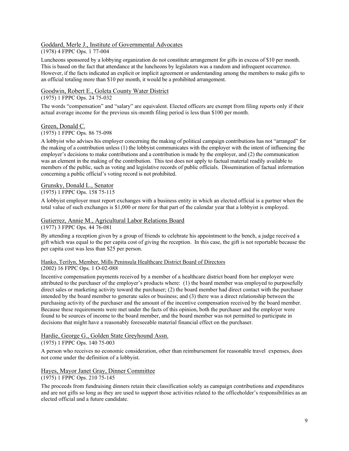#### Goddard, Merle J., Institute of Governmental Advocates

#### (1978) 4 FPPC Ops. 1 77-004

Luncheons sponsored by a lobbying organization do not constitute arrangement for gifts in excess of \$10 per month. This is based on the fact that attendance at the luncheons by legislators was a random and infrequent occurrence. However, if the facts indicated an explicit or implicit agreement or understanding among the members to make gifts to an official totaling more than \$10 per month, it would be a prohibited arrangement.

## Goodwin, Robert E., Goleta County Water District

#### (1975) 1 FPPC Ops. 24 75-032

The words "compensation" and "salary" are equivalent. Elected officers are exempt from filing reports only if their actual average income for the previous six-month filing period is less than \$100 per month.

#### Green, Donald C.

#### (1975) 1 FPPC Ops. 86 75-098

A lobbyist who advises his employer concerning the making of political campaign contributions has not "arranged" for the making of a contribution unless (1) the lobbyist communicates with the employer with the intent of influencing the employer's decisions to make contributions and a contribution is made by the employer, and (2) the communication was an element in the making of the contribution. This test does not apply to factual material readily available to members of the public, such as voting and legislative records of public officials. Dissemination of factual information concerning a public official's voting record is not prohibited.

#### Grunsky, Donald L., Senator

#### (1975) 1 FPPC Ops. 158 75-115

A lobbyist employer must report exchanges with a business entity in which an elected official is a partner when the total value of such exchanges is \$1,000 or more for that part of the calendar year that a lobbyist is employed.

#### Gutierrez, Annie M., Agricultural Labor Relations Board

#### (1977) 3 FPPC Ops. 44 76-081

By attending a reception given by a group of friends to celebrate his appointment to the bench, a judge received a gift which was equal to the per capita cost of giving the reception. In this case, the gift is not reportable because the per capita cost was less than \$25 per person.

#### Hanko, Terilyn, Member, Mills Peninsula Healthcare District Board of Directors

#### (2002) 16 FPPC Ops. 1 O-02-088

Incentive compensation payments received by a member of a healthcare district board from her employer were attributed to the purchaser of the employer's products where: (1) the board member was employed to purposefully direct sales or marketing activity toward the purchaser; (2) the board member had direct contact with the purchaser intended by the board member to generate sales or business; and (3) there was a direct relationship between the purchasing activity of the purchaser and the amount of the incentive compensation received by the board member. Because these requirements were met under the facts of this opinion, both the purchaser and the employer were found to be sources of income to the board member, and the board member was not permitted to participate in decisions that might have a reasonably foreseeable material financial effect on the purchaser.

#### Hardie, George G., Golden State Greyhound Assn.

(1975) 1 FPPC Ops. 140 75-003

A person who receives no economic consideration, other than reimbursement for reasonable travel expenses, does not come under the definition of a lobbyist.

## Hayes, Mayor Janet Gray, Dinner Committee

#### (1975) 1 FPPC Ops. 210 75-145

The proceeds from fundraising dinners retain their classification solely as campaign contributions and expenditures and are not gifts so long as they are used to support those activities related to the officeholder's responsibilities as an elected official and a future candidate.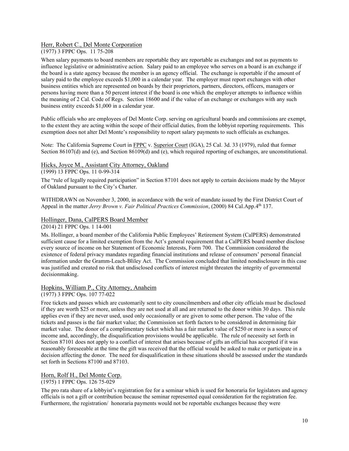#### Herr, Robert C., Del Monte Corporation

(1977) 3 FPPC Ops. 11 75-208

When salary payments to board members are reportable they are reportable as exchanges and not as payments to influence legislative or administrative action. Salary paid to an employee who serves on a board is an exchange if the board is a state agency because the member is an agency official. The exchange is reportable if the amount of salary paid to the employee exceeds \$1,000 in a calendar year. The employer must report exchanges with other business entities which are represented on boards by their proprietors, partners, directors, officers, managers or persons having more than a 50 percent interest if the board is one which the employer attempts to influence within the meaning of 2 Cal. Code of Regs. Section 18600 and if the value of an exchange or exchanges with any such business entity exceeds \$1,000 in a calendar year.

Public officials who are employees of Del Monte Corp. serving on agricultural boards and commissions are exempt, to the extent they are acting within the scope of their official duties, from the lobbyist reporting requirements. This exemption does not alter Del Monte's responsibility to report salary payments to such officials as exchanges.

Note: The California Supreme Court in FPPC v. Superior Court (IGA), 25 Cal. 3d. 33 (1979), ruled that former Section 86107(d) and (e), and Section 86109(d) and (e), which required reporting of exchanges, are unconstitutional.

#### Hicks, Joyce M., Assistant City Attorney, Oakland

(1999) 13 FPPC Ops. 11 0-99-314

The "rule of legally required participation" in Section 87101 does not apply to certain decisions made by the Mayor of Oakland pursuant to the City's Charter.

WITHDRAWN on November 3, 2000, in accordance with the writ of mandate issued by the First District Court of Appeal in the matter *Jerry Brown v. Fair Political Practices Commission*, (2000) 84 Cal.App.4th 137.

### Hollinger, Dana, CalPERS Board Member

(2014) 21 FPPC Ops. 1 14-001

Ms. Hollinger, a board member of the California Public Employees' Retirement System (CalPERS) demonstrated sufficient cause for a limited exemption from the Act's general requirement that a CalPERS board member disclose every source of income on her Statement of Economic Interests, Form 700. The Commission considered the existence of federal privacy mandates regarding financial institutions and release of consumers' personal financial information under the Gramm-Leach-Bliley Act. The Commission concluded that limited nondisclosure in this case was justified and created no risk that undisclosed conflicts of interest might threaten the integrity of governmental decisionmaking.

## Hopkins, William P., City Attorney, Anaheim

## (1977) 3 FPPC Ops. 107 77-022

Free tickets and passes which are customarily sent to city councilmembers and other city officials must be disclosed if they are worth \$25 or more, unless they are not used at all and are returned to the donor within 30 days. This rule applies even if they are never used, used only occasionally or are given to some other person. The value of the tickets and passes is the fair market value; the Commission set forth factors to be considered in determining fair market value. The donor of a complimentary ticket which has a fair market value of \$250 or more is a source of income and, accordingly, the disqualification provisions would be applicable. The rule of necessity set forth in Section 87101 does not apply to a conflict of interest that arises because of gifts an official has accepted if it was reasonably foreseeable at the time the gift was received that the official would be asked to make or participate in a decision affecting the donor. The need for disqualification in these situations should be assessed under the standards set forth in Sections 87100 and 87103.

## Horn, Rolf H., Del Monte Corp.

(1975) 1 FPPC Ops. 126 75-029

The pro rata share of a lobbyist's registration fee for a seminar which is used for honoraria for legislators and agency officials is not a gift or contribution because the seminar represented equal consideration for the registration fee. Furthermore, the registration/ honoraria payments would not be reportable exchanges because they were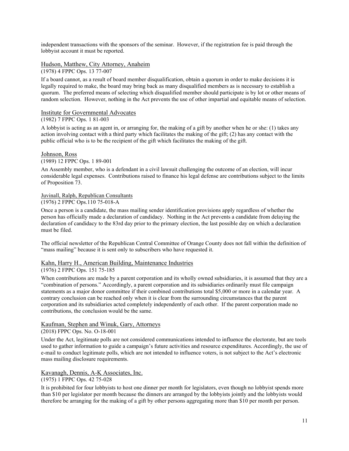independent transactions with the sponsors of the seminar. However, if the registration fee is paid through the lobbyist account it must be reported.

Hudson, Matthew, City Attorney, Anaheim (1978) 4 FPPC Ops. 13 77-007

If a board cannot, as a result of board member disqualification, obtain a quorum in order to make decisions it is legally required to make, the board may bring back as many disqualified members as is necessary to establish a quorum. The preferred means of selecting which disqualified member should participate is by lot or other means of random selection. However, nothing in the Act prevents the use of other impartial and equitable means of selection.

#### Institute for Governmental Advocates

#### (1982) 7 FPPC Ops. 1 81-003

A lobbyist is acting as an agent in, or arranging for, the making of a gift by another when he or she: (1) takes any action involving contact with a third party which facilitates the making of the gift; (2) has any contact with the public official who is to be the recipient of the gift which facilitates the making of the gift.

#### Johnson, Ross

#### (1989) 12 FPPC Ops. 1 89-001

An Assembly member, who is a defendant in a civil lawsuit challenging the outcome of an election, will incur considerable legal expenses. Contributions raised to finance his legal defense are contributions subject to the limits of Proposition 73.

#### Juvinall, Ralph, Republican Consultants

(1976) 2 FPPC Ops.110 75-018-A

Once a person is a candidate, the mass mailing sender identification provisions apply regardless of whether the person has officially made a declaration of candidacy. Nothing in the Act prevents a candidate from delaying the declaration of candidacy to the 83rd day prior to the primary election, the last possible day on which a declaration must be filed.

The official newsletter of the Republican Central Committee of Orange County does not fall within the definition of "mass mailing" because it is sent only to subscribers who have requested it.

#### Kahn, Harry H., American Building, Maintenance Industries

## (1976) 2 FPPC Ops. 151 75-185

When contributions are made by a parent corporation and its wholly owned subsidiaries, it is assumed that they are a "combination of persons." Accordingly, a parent corporation and its subsidiaries ordinarily must file campaign statements as a major donor committee if their combined contributions total \$5,000 or more in a calendar year. A contrary conclusion can be reached only when it is clear from the surrounding circumstances that the parent corporation and its subsidiaries acted completely independently of each other. If the parent corporation made no contributions, the conclusion would be the same.

#### Kaufman, Stephen and Winuk, Gary, Attorneys

#### (2018) FPPC Ops. No. O-18-001

Under the Act, legitimate polls are not considered communications intended to influence the electorate, but are tools used to gather information to guide a campaign's future activities and resource expenditures. Accordingly, the use of e-mail to conduct legitimate polls, which are not intended to influence voters, is not subject to the Act's electronic mass mailing disclosure requirements.

#### Kavanagh, Dennis, A-K Associates, Inc.

#### (1975) 1 FPPC Ops. 42 75-028

It is prohibited for four lobbyists to host one dinner per month for legislators, even though no lobbyist spends more than \$10 per legislator per month because the dinners are arranged by the lobbyists jointly and the lobbyists would therefore be arranging for the making of a gift by other persons aggregating more than \$10 per month per person.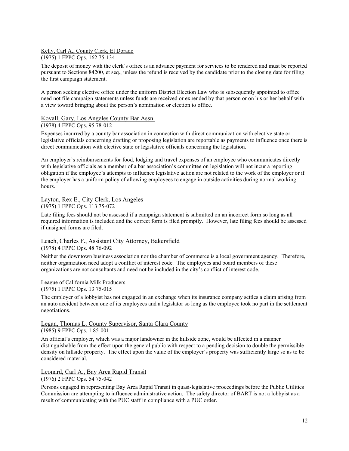Kelly, Carl A., County Clerk, El Dorado (1975) 1 FPPC Ops. 162 75-134

The deposit of money with the clerk's office is an advance payment for services to be rendered and must be reported pursuant to Sections 84200, et seq., unless the refund is received by the candidate prior to the closing date for filing the first campaign statement.

A person seeking elective office under the uniform District Election Law who is subsequently appointed to office need not file campaign statements unless funds are received or expended by that person or on his or her behalf with a view toward bringing about the person's nomination or election to office.

### Kovall, Gary, Los Angeles County Bar Assn.

(1978) 4 FPPC Ops. 95 78-012

Expenses incurred by a county bar association in connection with direct communication with elective state or legislative officials concerning drafting or proposing legislation are reportable as payments to influence once there is direct communication with elective state or legislative officials concerning the legislation.

An employer's reimbursements for food, lodging and travel expenses of an employee who communicates directly with legislative officials as a member of a bar association's committee on legislation will not incur a reporting obligation if the employee's attempts to influence legislative action are not related to the work of the employer or if the employer has a uniform policy of allowing employees to engage in outside activities during normal working hours.

## Layton, Rex E., City Clerk, Los Angeles

(1975) 1 FPPC Ops. 113 75-072

Late filing fees should not be assessed if a campaign statement is submitted on an incorrect form so long as all required information is included and the correct form is filed promptly. However, late filing fees should be assessed if unsigned forms are filed.

## Leach, Charles F., Assistant City Attorney, Bakersfield

#### (1978) 4 FPPC Ops. 48 76-092

Neither the downtown business association nor the chamber of commerce is a local government agency. Therefore, neither organization need adopt a conflict of interest code. The employees and board members of these organizations are not consultants and need not be included in the city's conflict of interest code.

## League of California Milk Producers

(1975) 1 FPPC Ops. 13 75-015

The employer of a lobbyist has not engaged in an exchange when its insurance company settles a claim arising from an auto accident between one of its employees and a legislator so long as the employee took no part in the settlement negotiations.

## Legan, Thomas L. County Supervisor, Santa Clara County

#### (1985) 9 FPPC Ops. 1 85-001

An official's employer, which was a major landowner in the hillside zone, would be affected in a manner distinguishable from the effect upon the general public with respect to a pending decision to double the permissible density on hillside property. The effect upon the value of the employer's property was sufficiently large so as to be considered material.

Leonard, Carl A., Bay Area Rapid Transit (1976) 2 FPPC Ops. 54 75-042

Persons engaged in representing Bay Area Rapid Transit in quasi-legislative proceedings before the Public Utilities Commission are attempting to influence administrative action. The safety director of BART is not a lobbyist as a result of communicating with the PUC staff in compliance with a PUC order.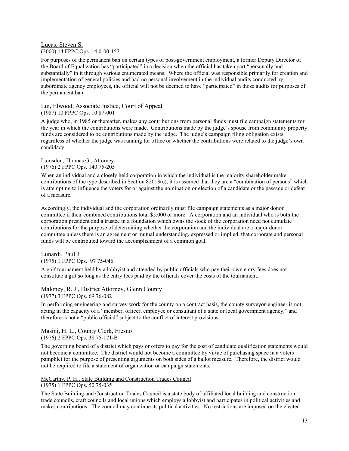#### Lucas, Steven S**.** (2000) 14 FPPC Ops. 14 0-00-157

For purposes of the permanent ban on certain types of post-government employment, a former Deputy Director of the Board of Equalization has "participated" in a decision when the official has taken part "personally and substantially" in it through various enumerated means. Where the official was responsible primarily for creation and implementation of general policies and had no personal involvement in the individual audits conducted by subordinate agency employees, the official will not be deemed to have "participated" in those audits for purposes of the permanent ban.

### Lui, Elwood, Associate Justice, Court of Appeal

### (1987) 10 FPPC Ops. 10 87-001

A judge who, in 1985 or thereafter, makes any contributions from personal funds must file campaign statements for the year in which the contributions were made. Contributions made by the judge's spouse from community property funds are considered to be contributions made by the judge. The judge's campaign filing obligation exists regardless of whether the judge was running for office or whether the contributions were related to the judge's own candidacy.

### Lumsdon, Thomas G., Attorney

#### (1976) 2 FPPC Ops. 140 75-205

When an individual and a closely held corporation in which the individual is the majority shareholder make contributions of the type described in Section  $82013(c)$ , it is assumed that they are a "combination of persons" which is attempting to influence the voters for or against the nomination or election of a candidate or the passage or defeat of a measure.

Accordingly, the individual and the corporation ordinarily must file campaign statements as a major donor committee if their combined contributions total \$5,000 or more. A corporation and an individual who is both the corporation president and a trustee in a foundation which owns the stock of the corporation need not cumulate contributions for the purpose of determining whether the corporation and the individual are a major donor committee unless there is an agreement or mutual understanding, expressed or implied, that corporate and personal funds will be contributed toward the accomplishment of a common goal.

## Lunardi, Paul J.

(1975) 1 FPPC Ops. 97 75-046

A golf tournament held by a lobbyist and attended by public officials who pay their own entry fees does not constitute a gift so long as the entry fees paid by the officials cover the costs of the tournament.

#### Maloney, R. J., District Attorney, Glenn County

#### (1977) 3 FPPC Ops. 69 76-082

In performing engineering and survey work for the county on a contract basis, the county surveyor-engineer is not acting in the capacity of a "member, officer, employee or consultant of a state or local government agency," and therefore is not a "public official" subject to the conflict of interest provisions.

#### Masini, H. L., County Clerk, Fresno (1976) 2 FPPC Ops. 38 75-171-B

The governing board of a district which pays or offers to pay for the cost of candidate qualification statements would not become a committee. The district would not become a committee by virtue of purchasing space in a voters' pamphlet for the purpose of presenting arguments on both sides of a ballot measure. Therefore, the district would not be required to file a statement of organization or campaign statements.

#### McCarthy, P. H., State Building and Construction Trades Council

#### (1975) 1 FPPC Ops. 50 75-035

The State Building and Construction Trades Council is a state body of affiliated local building and construction trade councils, craft councils and local unions which employs a lobbyist and participates in political activities and makes contributions. The council may continue its political activities. No restrictions are imposed on the elected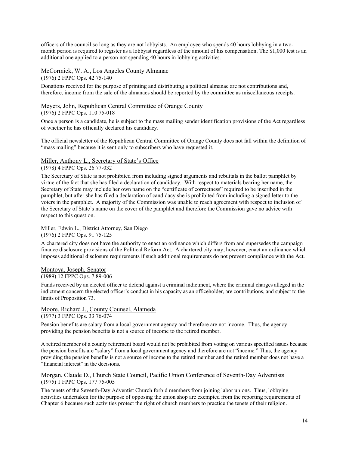officers of the council so long as they are not lobbyists. An employee who spends 40 hours lobbying in a twomonth period is required to register as a lobbyist regardless of the amount of his compensation. The \$1,000 test is an additional one applied to a person not spending 40 hours in lobbying activities.

### McCormick, W. A., Los Angeles County Almanac

#### (1976) 2 FPPC Ops. 42 75-140

Donations received for the purpose of printing and distributing a political almanac are not contributions and, therefore, income from the sale of the almanacs should be reported by the committee as miscellaneous receipts.

#### Meyers, John, Republican Central Committee of Orange County

#### (1976) 2 FPPC Ops. 110 75-018

Once a person is a candidate, he is subject to the mass mailing sender identification provisions of the Act regardless of whether he has officially declared his candidacy.

The official newsletter of the Republican Central Committee of Orange County does not fall within the definition of "mass mailing" because it is sent only to subscribers who have requested it.

#### Miller, Anthony L., Secretary of State's Office

#### (1978) 4 FPPC Ops. 26 77-032

The Secretary of State is not prohibited from including signed arguments and rebuttals in the ballot pamphlet by virtue of the fact that she has filed a declaration of candidacy. With respect to materials bearing her name, the Secretary of State may include her own name on the "certificate of correctness" required to be inscribed in the pamphlet, but after she has filed a declaration of candidacy she is prohibited from including a signed letter to the voters in the pamphlet. A majority of the Commission was unable to reach agreement with respect to inclusion of the Secretary of State's name on the cover of the pamphlet and therefore the Commission gave no advice with respect to this question.

#### Miller, Edwin L., District Attorney, San Diego

#### (1976) 2 FPPC Ops. 91 75-125

A chartered city does not have the authority to enact an ordinance which differs from and supersedes the campaign finance disclosure provisions of the Political Reform Act. A chartered city may, however, enact an ordinance which imposes additional disclosure requirements if such additional requirements do not prevent compliance with the Act.

#### Montoya, Joseph, Senator

#### (1989) 12 FPPC Ops. 7 89-006

Funds received by an elected officer to defend against a criminal indictment, where the criminal charges alleged in the indictment concern the elected officer's conduct in his capacity as an officeholder, are contributions, and subject to the limits of Proposition 73.

#### Moore, Richard J., County Counsel, Alameda (1977) 3 FPPC Ops. 33 76-074

Pension benefits are salary from a local government agency and therefore are not income. Thus, the agency providing the pension benefits is not a source of income to the retired member.

A retired member of a county retirement board would not be prohibited from voting on various specified issues because the pension benefits are "salary" from a local government agency and therefore are not "income." Thus, the agency providing the pension benefits is not a source of income to the retired member and the retired member does not have a "financial interest" in the decisions.

#### Morgan, Claude D., Church State Council, Pacific Union Conference of Seventh-Day Adventists (1975) 1 FPPC Ops. 177 75-005

The tenets of the Seventh-Day Adventist Church forbid members from joining labor unions. Thus, lobbying activities undertaken for the purpose of opposing the union shop are exempted from the reporting requirements of Chapter 6 because such activities protect the right of church members to practice the tenets of their religion.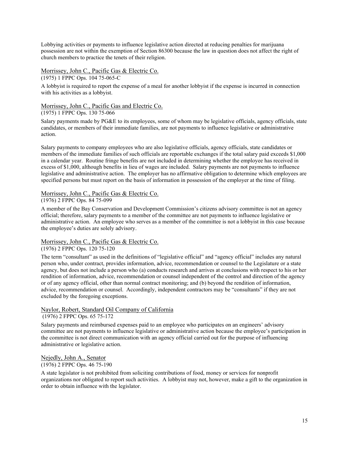Lobbying activities or payments to influence legislative action directed at reducing penalties for marijuana possession are not within the exemption of Section 86300 because the law in question does not affect the right of church members to practice the tenets of their religion.

### Morrissey, John C., Pacific Gas & Electric Co.

#### (1975) 1 FPPC Ops. 104 75-065-C

A lobbyist is required to report the expense of a meal for another lobbyist if the expense is incurred in connection with his activities as a lobbyist.

#### Morrissey, John C., Pacific Gas and Electric Co.

### (1975) 1 FPPC Ops. 130 75-066

Salary payments made by PG&E to its employees, some of whom may be legislative officials, agency officials, state candidates, or members of their immediate families, are not payments to influence legislative or administrative action.

Salary payments to company employees who are also legislative officials, agency officials, state candidates or members of the immediate families of such officials are reportable exchanges if the total salary paid exceeds \$1,000 in a calendar year. Routine fringe benefits are not included in determining whether the employee has received in excess of \$1,000, although benefits in lieu of wages are included. Salary payments are not payments to influence legislative and administrative action. The employer has no affirmative obligation to determine which employees are specified persons but must report on the basis of information in possession of the employer at the time of filing.

### Morrissey, John C., Pacific Gas & Electric Co.

#### (1976) 2 FPPC Ops. 84 75-099

A member of the Bay Conservation and Development Commission's citizens advisory committee is not an agency official; therefore, salary payments to a member of the committee are not payments to influence legislative or administrative action. An employee who serves as a member of the committee is not a lobbyist in this case because the employee's duties are solely advisory.

#### Morrissey, John C., Pacific Gas & Electric Co.

#### (1976) 2 FPPC Ops. 120 75-120

The term "consultant" as used in the definitions of "legislative official" and "agency official" includes any natural person who, under contract, provides information, advice, recommendation or counsel to the Legislature or a state agency, but does not include a person who (a) conducts research and arrives at conclusions with respect to his or her rendition of information, advice, recommendation or counsel independent of the control and direction of the agency or of any agency official, other than normal contract monitoring; and (b) beyond the rendition of information, advice, recommendation or counsel. Accordingly, independent contractors may be "consultants" if they are not excluded by the foregoing exceptions.

# Naylor, Robert, Standard Oil Company of California

## (1976) 2 FPPC Ops. 65 75-172

Salary payments and reimbursed expenses paid to an employee who participates on an engineers' advisory committee are not payments to influence legislative or administrative action because the employee's participation in the committee is not direct communication with an agency official carried out for the purpose of influencing administrative or legislative action.

Nejedly, John A., Senator (1976) 2 FPPC Ops. 46 75-190

A state legislator is not prohibited from soliciting contributions of food, money or services for nonprofit organizations nor obligated to report such activities. A lobbyist may not, however, make a gift to the organization in order to obtain influence with the legislator.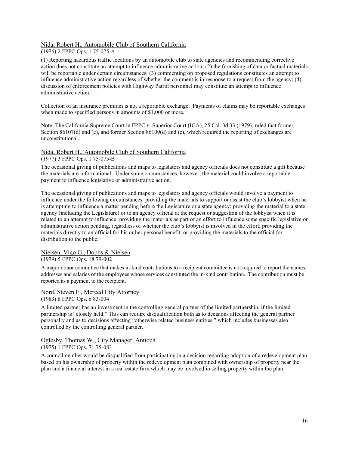#### Nida, Robert H., Automobile Club of Southern California

#### (1976) 2 FPPC Ops. 1 75-075-A

(1) Reporting hazardous traffic locations by an automobile club to state agencies and recommending corrective action does not constitute an attempt to influence administrative action; (2) the furnishing of data or factual materials will be reportable under certain circumstances; (3) commenting on proposed regulations constitutes an attempt to influence administrative action regardless of whether the comment is in response to a request from the agency; (4) discussion of enforcement policies with Highway Patrol personnel may constitute an attempt to influence administrative action.

Collection of an insurance premium is not a reportable exchange. Payments of claims may be reportable exchanges when made to specified persons in amounts of \$1,000 or more.

Note: The California Supreme Court in FPPC v. Superior Court (IGA), 25 Cal. 3d 33 (1979), ruled that former Section 86107(d) and (e), and former Section 86109(d) and (e), which required the reporting of exchanges are unconstitutional.

## Nida, Robert H., Automobile Club of Southern California

### (1977) 3 FPPC Ops. 1 75-075-B

The occasional giving of publications and maps to legislators and agency officials does not constitute a gift because the materials are informational. Under some circumstances, however, the material could involve a reportable payment to influence legislative or administrative action.

The occasional giving of publications and maps to legislators and agency officials would involve a payment to influence under the following circumstances: providing the materials to support or assist the club's lobbyist when he is attempting to influence a matter pending before the Legislature or a state agency; providing the material to a state agency (including the Legislature) or to an agency official at the request or suggestion of the lobbyist when it is related to an attempt to influence; providing the materials as part of an effort to influence some specific legislative or administrative action pending, regardless of whether the club's lobbyist is involved in the effort; providing the materials directly to an official for his or her personal benefit; or providing the materials to the official for distribution to the public.

#### Nielsen, Vigo G., Dobbs & Nielsen

(1979) 5 FPPC Ops. 18 79-002

A major donor committee that makes in-kind contributions to a recipient committee is not required to report the names, addresses and salaries of the employees whose services constituted the in-kind contribution. The contribution must be reported as a payment to the recipient.

#### Nord, Steven F., Merced City Attorney

(1983) 8 FPPC Ops. 6 83-004

A limited partner has an investment in the controlling general partner of the limited partnership, if the limited partnership is "closely held." This can require disqualification both as to decisions affecting the general partner personally and as to decisions affecting "otherwise related business entities," which includes businesses also controlled by the controlling general partner.

# Oglesby, Thomas W., City Manager, Antioch

(1975) 1 FPPC Ops. 71 75-083

A councilmember would be disqualified from participating in a decision regarding adoption of a redevelopment plan based on his ownership of property within the redevelopment plan combined with ownership of property near the plan and a financial interest in a real estate firm which may be involved in selling property within the plan.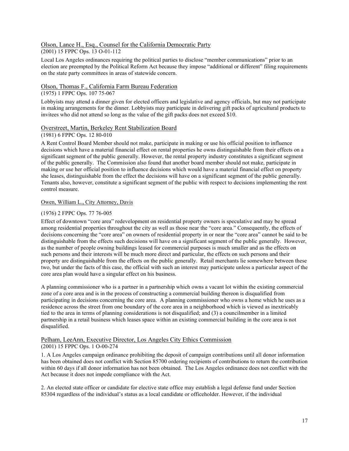# Olson, Lance H., Esq., Counsel for the California Democratic Party

### (2001) 15 FPPC Ops. 13 O-01-112

Local Los Angeles ordinances requiring the political parties to disclose "member communications" prior to an election are preempted by the Political Reform Act because they impose "additional or different" filing requirements on the state party committees in areas of statewide concern.

## Olson, Thomas F., California Farm Bureau Federation

#### (1975) 1 FPPC Ops. 107 75-067

Lobbyists may attend a dinner given for elected officers and legislative and agency officials, but may not participate in making arrangements for the dinner. Lobbyists may participate in delivering gift packs of agricultural products to invitees who did not attend so long as the value of the gift packs does not exceed \$10.

#### Overstreet, Martin, Berkeley Rent Stabilization Board (1981) 6 FPPC Ops. 12 80-010

A Rent Control Board Member should not make, participate in making or use his official position to influence decisions which have a material financial effect on rental properties he owns distinguishable from their effects on a significant segment of the public generally. However, the rental property industry constitutes a significant segment of the public generally. The Commission also found that another board member should not make, participate in making or use her official position to influence decisions which would have a material financial effect on property she leases, distinguishable from the effect the decisions will have on a significant segment of the public generally. Tenants also, however, constitute a significant segment of the public with respect to decisions implementing the rent control measure.

### Owen, William L., City Attorney, Davis

### (1976) 2 FPPC Ops. 77 76-005

Effect of downtown "core area" redevelopment on residential property owners is speculative and may be spread among residential properties throughout the city as well as those near the "core area." Consequently, the effects of decisions concerning the "core area" on owners of residential property in or near the "core area" cannot be said to be distinguishable from the effects such decisions will have on a significant segment of the public generally. However, as the number of people owning buildings leased for commercial purposes is much smaller and as the effects on such persons and their interests will be much more direct and particular, the effects on such persons and their property are distinguishable from the effects on the public generally. Retail merchants lie somewhere between these two, but under the facts of this case, the official with such an interest may participate unless a particular aspect of the core area plan would have a singular effect on his business.

A planning commissioner who is a partner in a partnership which owns a vacant lot within the existing commercial zone of a core area and is in the process of constructing a commercial building thereon is disqualified from participating in decisions concerning the core area. A planning commissioner who owns a home which he uses as a residence across the street from one boundary of the core area in a neighborhood which is viewed as inextricably tied to the area in terms of planning considerations is not disqualified; and (3) a councilmember in a limited partnership in a retail business which leases space within an existing commercial building in the core area is not disqualified.

#### Pelham, LeeAnn, Executive Director, Los Angeles City Ethics Commission (2001) 15 FPPC Ops. 1 O-00-274

1. A Los Angeles campaign ordinance prohibiting the deposit of campaign contributions until all donor information has been obtained does not conflict with Section 85700 ordering recipients of contributions to return the contribution within 60 days if all donor information has not been obtained. The Los Angeles ordinance does not conflict with the Act because it does not impede compliance with the Act.

2. An elected state officer or candidate for elective state office may establish a legal defense fund under Section 85304 regardless of the individual's status as a local candidate or officeholder. However, if the individual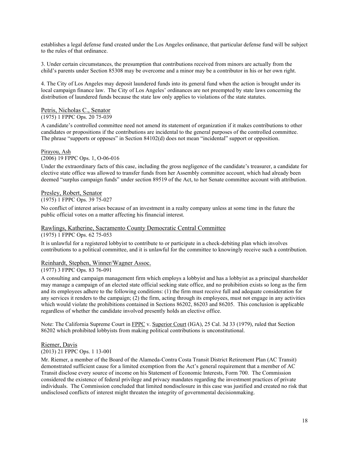establishes a legal defense fund created under the Los Angeles ordinance, that particular defense fund will be subject to the rules of that ordinance.

3. Under certain circumstances, the presumption that contributions received from minors are actually from the child's parents under Section 85308 may be overcome and a minor may be a contributor in his or her own right.

4. The City of Los Angeles may deposit laundered funds into its general fund when the action is brought under its local campaign finance law. The City of Los Angeles' ordinances are not preempted by state laws concerning the distribution of laundered funds because the state law only applies to violations of the state statutes.

#### Petris, Nicholas C., Senator

#### (1975) 1 FPPC Ops. 20 75-039

A candidate's controlled committee need not amend its statement of organization if it makes contributions to other candidates or propositions if the contributions are incidental to the general purposes of the controlled committee. The phrase "supports or opposes" in Section 84102(d) does not mean "incidental" support or opposition.

#### Pirayou, Ash

#### (2006) 19 FPPC Ops. 1, O-06-016

Under the extraordinary facts of this case, including the gross negligence of the candidate's treasurer, a candidate for elective state office was allowed to transfer funds from her Assembly committee account, which had already been deemed "surplus campaign funds" under section 89519 of the Act, to her Senate committee account with attribution.

#### Presley, Robert, Senator

#### (1975) 1 FPPC Ops. 39 75-027

No conflict of interest arises because of an investment in a realty company unless at some time in the future the public official votes on a matter affecting his financial interest.

#### Rawlings, Katherine, Sacramento County Democratic Central Committee

#### (1975) 1 FPPC Ops. 62 75-053

It is unlawful for a registered lobbyist to contribute to or participate in a check-debiting plan which involves contributions to a political committee, and it is unlawful for the committee to knowingly receive such a contribution.

#### Reinhardt, Stephen, Winner/Wagner Assoc.

#### (1977) 3 FPPC Ops. 83 76-091

A consulting and campaign management firm which employs a lobbyist and has a lobbyist as a principal shareholder may manage a campaign of an elected state official seeking state office, and no prohibition exists so long as the firm and its employees adhere to the following conditions: (1) the firm must receive full and adequate consideration for any services it renders to the campaign; (2) the firm, acting through its employees, must not engage in any activities which would violate the prohibitions contained in Sections 86202, 86203 and 86205. This conclusion is applicable regardless of whether the candidate involved presently holds an elective office.

Note: The California Supreme Court in FPPC v. Superior Court (IGA), 25 Cal. 3d 33 (1979), ruled that Section 86202 which prohibited lobbyists from making political contributions is unconstitutional.

#### Riemer, Davis

#### (2013) 21 FPPC Ops. 1 13-001

Mr. Riemer, a member of the Board of the Alameda-Contra Costa Transit District Retirement Plan (AC Transit) demonstrated sufficient cause for a limited exemption from the Act's general requirement that a member of AC Transit disclose every source of income on his Statement of Economic Interests, Form 700. The Commission considered the existence of federal privilege and privacy mandates regarding the investment practices of private individuals. The Commission concluded that limited nondisclosure in this case was justified and created no risk that undisclosed conflicts of interest might threaten the integrity of governmental decisionmaking.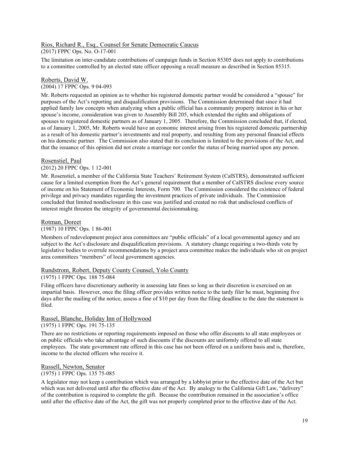## Rios, Richard R., Esq., Counsel for Senate Democratic Caucus

(2017) FPPC Ops. No. O-17-001

The limitation on inter-candidate contributions of campaign funds in Section 85305 does not apply to contributions to a committee controlled by an elected state officer opposing a recall measure as described in Section 85315.

#### Roberts, David W.

#### (2004) 17 FPPC Ops. 9 04-093

Mr. Roberts requested an opinion as to whether his registered domestic partner would be considered a "spouse" for purposes of the Act's reporting and disqualification provisions. The Commission determined that since it had applied family law concepts when analyzing when a public official has a community property interest in his or her spouse's income, consideration was given to Assembly Bill 205, which extended the rights and obligations of spouses to registered domestic partners as of January 1, 2005. Therefore, the Commission concluded that, if elected, as of January 1, 2005, Mr. Roberts would have an economic interest arising from his registered domestic partnership as a result of his domestic partner's investments and real property, and resulting from any personal financial effects on his domestic partner. The Commission also stated that its conclusion is limited to the provisions of the Act, and that the issuance of this opinion did not create a marriage nor confer the status of being married upon any person.

#### Rosenstiel, Paul

#### (2012) 20 FPPC Ops. 1 12-001

Mr. Rosenstiel, a member of the California State Teachers' Retirement System (CalSTRS), demonstrated sufficient cause for a limited exemption from the Act's general requirement that a member of CalSTRS disclose every source of income on his Statement of Economic Interests, Form 700. The Commission considered the existence of federal privilege and privacy mandates regarding the investment practices of private individuals. The Commission concluded that limited nondisclosure in this case was justified and created no risk that undisclosed conflicts of interest might threaten the integrity of governmental decisionmaking.

#### Rotman, Doreet

### (1987) 10 FPPC Ops. 1 86-001

Members of redevelopment project area committees are "public officials" of a local governmental agency and are subject to the Act's disclosure and disqualification provisions. A statutory change requiring a two-thirds vote by legislative bodies to overrule recommendations by a project area committee makes the individuals who sit on project area committees "members" of local government agencies.

#### Rundstrom, Robert, Deputy County Counsel, Yolo County

#### (1975) 1 FPPC Ops. 188 75-084

Filing officers have discretionary authority in assessing late fines so long as their discretion is exercised on an impartial basis. However, once the filing officer provides written notice to the tardy filer he must, beginning five days after the mailing of the notice, assess a fine of \$10 per day from the filing deadline to the date the statement is filed.

#### Russel, Blanche, Holiday Inn of Hollywood (1975) 1 FPPC Ops. 191 75-135

There are no restrictions or reporting requirements imposed on those who offer discounts to all state employees or on public officials who take advantage of such discounts if the discounts are uniformly offered to all state employees. The state government rate offered in this case has not been offered on a uniform basis and is, therefore, income to the elected officers who receive it.

#### Russell, Newton, Senator

#### (1975) 1 FPPC Ops. 135 75-085

A legislator may not keep a contribution which was arranged by a lobbyist prior to the effective date of the Act but which was not delivered until after the effective date of the Act. By analogy to the California Gift Law, "delivery" of the contribution is required to complete the gift. Because the contribution remained in the association's office until after the effective date of the Act, the gift was not properly completed prior to the effective date of the Act.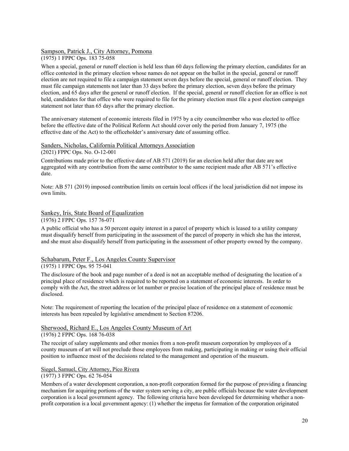#### Sampson, Patrick J., City Attorney, Pomona (1975) 1 FPPC Ops. 183 75-058

When a special, general or runoff election is held less than 60 days following the primary election, candidates for an office contested in the primary election whose names do not appear on the ballot in the special, general or runoff election are not required to file a campaign statement seven days before the special, general or runoff election. They must file campaign statements not later than 33 days before the primary election, seven days before the primary election, and 65 days after the general or runoff election. If the special, general or runoff election for an office is not held, candidates for that office who were required to file for the primary election must file a post election campaign statement not later than 65 days after the primary election.

The anniversary statement of economic interests filed in 1975 by a city councilmember who was elected to office before the effective date of the Political Reform Act should cover only the period from January 7, 1975 (the effective date of the Act) to the officeholder's anniversary date of assuming office.

#### Sanders, Nicholas, California Political Attorneys Association

#### (2021) FPPC Ops. No. O-12-001

Contributions made prior to the effective date of AB 571 (2019) for an election held after that date are not aggregated with any contribution from the same contributor to the same recipient made after AB 571's effective date.

Note: AB 571 (2019) imposed contribution limits on certain local offices if the local jurisdiction did not impose its own limits.

#### Sankey, Iris, State Board of Equalization

(1976) 2 FPPC Ops. 157 76-071

A public official who has a 50 percent equity interest in a parcel of property which is leased to a utility company must disqualify herself from participating in the assessment of the parcel of property in which she has the interest, and she must also disqualify herself from participating in the assessment of other property owned by the company.

#### Schabarum, Peter F., Los Angeles County Supervisor

#### (1975) 1 FPPC Ops. 95 75-041

The disclosure of the book and page number of a deed is not an acceptable method of designating the location of a principal place of residence which is required to be reported on a statement of economic interests. In order to comply with the Act, the street address or lot number or precise location of the principal place of residence must be disclosed.

Note: The requirement of reporting the location of the principal place of residence on a statement of economic interests has been repealed by legislative amendment to Section 87206.

## Sherwood, Richard E., Los Angeles County Museum of Art

#### (1976) 2 FPPC Ops. 168 76-038

The receipt of salary supplements and other monies from a non-profit museum corporation by employees of a county museum of art will not preclude those employees from making, participating in making or using their official position to influence most of the decisions related to the management and operation of the museum.

## Siegel, Samuel, City Attorney, Pico Rivera

## (1977) 3 FPPC Ops. 62 76-054

Members of a water development corporation, a non-profit corporation formed for the purpose of providing a financing mechanism for acquiring portions of the water system serving a city, are public officials because the water development corporation is a local government agency. The following criteria have been developed for determining whether a nonprofit corporation is a local government agency: (1) whether the impetus for formation of the corporation originated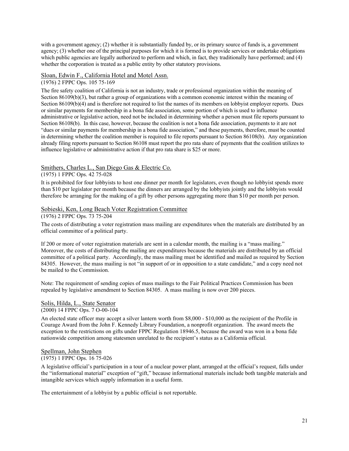with a government agency; (2) whether it is substantially funded by, or its primary source of funds is, a government agency; (3) whether one of the principal purposes for which it is formed is to provide services or undertake obligations which public agencies are legally authorized to perform and which, in fact, they traditionally have performed; and (4) whether the corporation is treated as a public entity by other statutory provisions.

#### Sloan, Edwin F., California Hotel and Motel Assn.

#### (1976) 2 FPPC Ops. 105 75-169

The fire safety coalition of California is not an industry, trade or professional organization within the meaning of Section 86109(b)(3), but rather a group of organizations with a common economic interest within the meaning of Section 86109(b)(4) and is therefore not required to list the names of its members on lobbyist employer reports. Dues or similar payments for membership in a bona fide association, some portion of which is used to influence administrative or legislative action, need not be included in determining whether a person must file reports pursuant to Section 86108(b). In this case, however, because the coalition is not a bona fide association, payments to it are not "dues or similar payments for membership in a bona fide association," and these payments, therefore, must be counted in determining whether the coalition member is required to file reports pursuant to Section 86108(b). Any organization already filing reports pursuant to Section 86108 must report the pro rata share of payments that the coalition utilizes to influence legislative or administrative action if that pro rata share is \$25 or more.

## Smithers, Charles L., San Diego Gas & Electric Co.

#### (1975) 1 FPPC Ops. 42 75-028

It is prohibited for four lobbyists to host one dinner per month for legislators, even though no lobbyist spends more than \$10 per legislator per month because the dinners are arranged by the lobbyists jointly and the lobbyists would therefore be arranging for the making of a gift by other persons aggregating more than \$10 per month per person.

### Sobieski, Ken, Long Beach Voter Registration Committee

#### (1976) 2 FPPC Ops. 73 75-204

The costs of distributing a voter registration mass mailing are expenditures when the materials are distributed by an official committee of a political party.

If 200 or more of voter registration materials are sent in a calendar month, the mailing is a "mass mailing." Moreover, the costs of distributing the mailing are expenditures because the materials are distributed by an official committee of a political party. Accordingly, the mass mailing must be identified and mailed as required by Section 84305. However, the mass mailing is not "in support of or in opposition to a state candidate," and a copy need not be mailed to the Commission.

Note: The requirement of sending copies of mass mailings to the Fair Political Practices Commission has been repealed by legislative amendment to Section 84305. A mass mailing is now over 200 pieces.

#### Solis, Hilda, L., State Senator

## (2000) 14 FPPC Ops. 7 O-00-104

An elected state officer may accept a silver lantern worth from \$8,000 - \$10,000 as the recipient of the Profile in Courage Award from the John F. Kennedy Library Foundation, a nonprofit organization. The award meets the exception to the restrictions on gifts under FPPC Regulation 18946.5, because the award was won in a bona fide nationwide competition among statesmen unrelated to the recipient's status as a California official.

## Spellman, John Stephen

#### (1975) 1 FPPC Ops. 16 75-026

A legislative official's participation in a tour of a nuclear power plant, arranged at the official's request, falls under the "informational material" exception of "gift," because informational materials include both tangible materials and intangible services which supply information in a useful form.

The entertainment of a lobbyist by a public official is not reportable.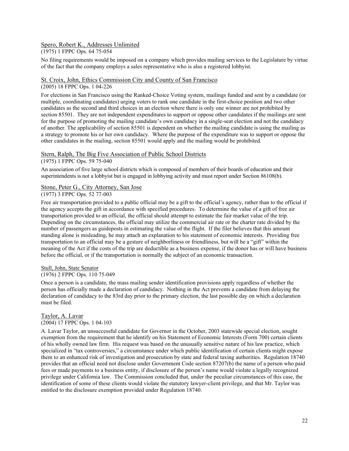## Spero, Robert K., Addresses Unlimited

(1975) 1 FPPC Ops. 64 75-054

No filing requirements would be imposed on a company which provides mailing services to the Legislature by virtue of the fact that the company employs a sales representative who is also a registered lobbyist.

#### St. Croix, John, Ethics Commission City and County of San Francisco

#### (2005) 18 FPPC Ops. 1 04-226

For elections in San Francisco using the Ranked-Choice Voting system, mailings funded and sent by a candidate (or multiple, coordinating candidates) urging voters to rank one candidate in the first-choice position and two other candidates as the second and third choices in an election where there is only one winner are not prohibited by section 85501. They are not independent expenditures to support or oppose other candidates if the mailings are sent for the purpose of promoting the mailing candidate's own candidacy in a single-seat election and not the candidacy of another. The applicability of section 85501 is dependent on whether the mailing candidate is using the mailing as a strategy to promote his or her own candidacy. Where the purpose of the expenditure was to support or oppose the other candidates in the mailing, section 85501 would apply and the mailing would be prohibited.

#### Stern, Ralph, The Big Five Association of Public School Districts

#### (1975) 1 FPPC Ops. 59 75-040

An association of five large school districts which is composed of members of their boards of education and their superintendents is not a lobbyist but is engaged in lobbying activity and must report under Section 86108(b).

## Stone, Peter G., City Attorney, San Jose

(1977) 3 FPPC Ops. 52 77-003

Free air transportation provided to a public official may be a gift to the official's agency, rather than to the official if the agency accepts the gift in accordance with specified procedures. To determine the value of a gift of free air transportation provided to an official, the official should attempt to estimate the fair market value of the trip. Depending on the circumstances, the official may utilize the commercial air rate or the charter rate divided by the number of passengers as guideposts in estimating the value of the flight. If the filer believes that this amount standing alone is misleading, he may attach an explanation to his statement of economic interests. Providing free transportation to an official may be a gesture of neighborliness or friendliness, but will be a "gift" within the meaning of the Act if the costs of the trip are deductible as a business expense, if the donor has or will have business before the official, or if the transportation is normally the subject of an economic transaction.

## Stull, John, State Senator

#### (1976) 2 FPPC Ops. 110 75-049

Once a person is a candidate, the mass mailing sender identification provisions apply regardless of whether the person has officially made a declaration of candidacy. Nothing in the Act prevents a candidate from delaying the declaration of candidacy to the 83rd day prior to the primary election, the last possible day on which a declaration must be filed.

#### Taylor, A. Lavar (2004) 17 FPPC Ops. 1 04-103

A. Lavar Taylor, an unsuccessful candidate for Governor in the October, 2003 statewide special election, sought exemption from the requirement that he identify on his Statement of Economic Interests (Form 700) certain clients of his wholly owned law firm. His request was based on the unusually sensitive nature of his law practice, which specialized in "tax controversies," a circumstance under which public identification of certain clients might expose them to an enhanced risk of investigation and prosecution by state and federal taxing authorities. Regulation 18740 provides that an official need not disclose under Government Code section 87207(b) the name of a person who paid fees or made payments to a business entity, if disclosure of the person's name would violate a legally recognized privilege under California law. The Commission concluded that, under the peculiar circumstances of this case, the identification of some of these clients would violate the statutory lawyer-client privilege, and that Mr. Taylor was entitled to the disclosure exemption provided under Regulation 18740.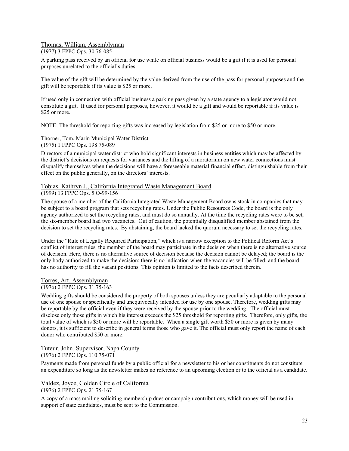### Thomas, William, Assemblyman

(1977) 3 FPPC Ops. 30 76-085

A parking pass received by an official for use while on official business would be a gift if it is used for personal purposes unrelated to the official's duties.

The value of the gift will be determined by the value derived from the use of the pass for personal purposes and the gift will be reportable if its value is \$25 or more.

If used only in connection with official business a parking pass given by a state agency to a legislator would not constitute a gift. If used for personal purposes, however, it would be a gift and would be reportable if its value is \$25 or more.

NOTE: The threshold for reporting gifts was increased by legislation from \$25 or more to \$50 or more.

#### Thorner, Tom, Marin Municipal Water District

(1975) 1 FPPC Ops. 198 75-089

Directors of a municipal water district who hold significant interests in business entities which may be affected by the district's decisions on requests for variances and the lifting of a moratorium on new water connections must disqualify themselves when the decisions will have a foreseeable material financial effect, distinguishable from their effect on the public generally, on the directors' interests.

## Tobias, Kathryn J., California Integrated Waste Management Board

#### (1999) 13 FPPC Ops. 5 O-99-156

The spouse of a member of the California Integrated Waste Management Board owns stock in companies that may be subject to a board program that sets recycling rates. Under the Public Resources Code, the board is the only agency authorized to set the recycling rates, and must do so annually. At the time the recycling rates were to be set, the six-member board had two vacancies. Out of caution, the potentially disqualified member abstained from the decision to set the recycling rates. By abstaining, the board lacked the quorum necessary to set the recycling rates.

Under the "Rule of Legally Required Participation," which is a narrow exception to the Political Reform Act's conflict of interest rules, the member of the board may participate in the decision when there is no alternative source of decision. Here, there is no alternative source of decision because the decision cannot be delayed; the board is the only body authorized to make the decision; there is no indication when the vacancies will be filled; and the board has no authority to fill the vacant positions. This opinion is limited to the facts described therein.

#### Torres, Art, Assemblyman

(1976) 2 FPPC Ops. 31 75-163

Wedding gifts should be considered the property of both spouses unless they are peculiarly adaptable to the personal use of one spouse or specifically and unequivocally intended for use by one spouse. Therefore, wedding gifts may be reportable by the official even if they were received by the spouse prior to the wedding. The official must disclose only those gifts in which his interest exceeds the \$25 threshold for reporting gifts. Therefore, only gifts, the total value of which is \$50 or more will be reportable. When a single gift worth \$50 or more is given by many donors, it is sufficient to describe in general terms those who gave it. The official must only report the name of each donor who contributed \$50 or more.

#### Tuteur, John, Supervisor, Napa County

(1976) 2 FPPC Ops. 110 75-071

Payments made from personal funds by a public official for a newsletter to his or her constituents do not constitute an expenditure so long as the newsletter makes no reference to an upcoming election or to the official as a candidate.

#### Valdez, Joyce, Golden Circle of California

#### (1976) 2 FPPC Ops. 21 75-167

A copy of a mass mailing soliciting membership dues or campaign contributions, which money will be used in support of state candidates, must be sent to the Commission.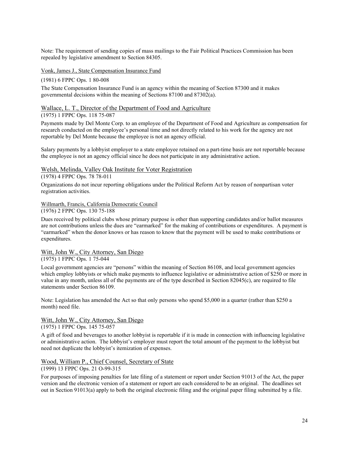Note: The requirement of sending copies of mass mailings to the Fair Political Practices Commission has been repealed by legislative amendment to Section 84305.

Vonk, James J., State Compensation Insurance Fund

(1981) 6 FPPC Ops. 1 80-008

The State Compensation Insurance Fund is an agency within the meaning of Section 87300 and it makes governmental decisions within the meaning of Sections 87100 and 87302(a).

#### Wallace, L. T., Director of the Department of Food and Agriculture

#### (1975) 1 FPPC Ops. 118 75-087

Payments made by Del Monte Corp. to an employee of the Department of Food and Agriculture as compensation for research conducted on the employee's personal time and not directly related to his work for the agency are not reportable by Del Monte because the employee is not an agency official.

Salary payments by a lobbyist employer to a state employee retained on a part-time basis are not reportable because the employee is not an agency official since he does not participate in any administrative action.

#### Welsh, Melinda, Valley Oak Institute for Voter Registration

(1978) 4 FPPC Ops. 78 78-011

Organizations do not incur reporting obligations under the Political Reform Act by reason of nonpartisan voter registration activities.

#### Willmarth, Francis, California Democratic Council

(1976) 2 FPPC Ops. 130 75-188

Dues received by political clubs whose primary purpose is other than supporting candidates and/or ballot measures are not contributions unless the dues are "earmarked" for the making of contributions or expenditures. A payment is "earmarked" when the donor knows or has reason to know that the payment will be used to make contributions or expenditures.

#### Witt, John W., City Attorney, San Diego

#### (1975) 1 FPPC Ops. 1 75-044

Local government agencies are "persons" within the meaning of Section 86108, and local government agencies which employ lobbyists or which make payments to influence legislative or administrative action of \$250 or more in value in any month, unless all of the payments are of the type described in Section 82045(c), are required to file statements under Section 86109.

Note: Legislation has amended the Act so that only persons who spend \$5,000 in a quarter (rather than \$250 a month) need file.

#### Witt, John W., City Attorney, San Diego

#### (1975) 1 FPPC Ops. 145 75-057

A gift of food and beverages to another lobbyist is reportable if it is made in connection with influencing legislative or administrative action. The lobbyist's employer must report the total amount of the payment to the lobbyist but need not duplicate the lobbyist's itemization of expenses.

# Wood, William P., Chief Counsel, Secretary of State

(1999) 13 FPPC Ops. 21 O-99-315

For purposes of imposing penalties for late filing of a statement or report under Section 91013 of the Act, the paper version and the electronic version of a statement or report are each considered to be an original. The deadlines set out in Section 91013(a) apply to both the original electronic filing and the original paper filing submitted by a file.